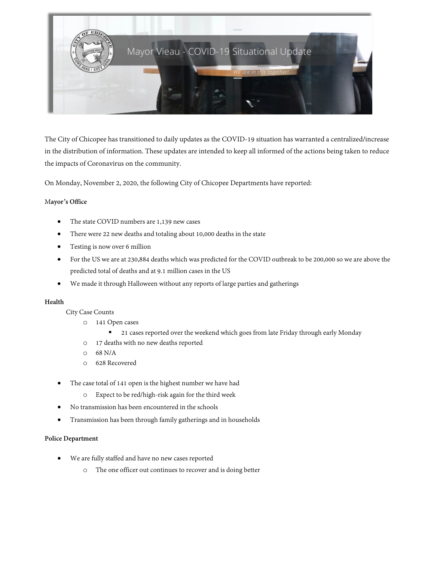

The City of Chicopee has transitioned to daily updates as the COVID-19 situation has warranted a centralized/increase in the distribution of information. These updates are intended to keep all informed of the actions being taken to reduce the impacts of Coronavirus on the community.

On Monday, November 2, 2020, the following City of Chicopee Departments have reported:

# M**ayor's Office**

- The state COVID numbers are 1,139 new cases
- There were 22 new deaths and totaling about 10,000 deaths in the state
- Testing is now over 6 million
- For the US we are at 230,884 deaths which was predicted for the COVID outbreak to be 200,000 so we are above the predicted total of deaths and at 9.1 million cases in the US
- We made it through Halloween without any reports of large parties and gatherings

# **Health**

City Case Counts

- o 141 Open cases
	- 21 cases reported over the weekend which goes from late Friday through early Monday
- o 17 deaths with no new deaths reported
- $O$  68 N/A
- o 628 Recovered
- The case total of 141 open is the highest number we have had
	- o Expect to be red/high-risk again for the third week
- No transmission has been encountered in the schools
- Transmission has been through family gatherings and in households

# **Police Department**

- We are fully staffed and have no new cases reported
	- o The one officer out continues to recover and is doing better